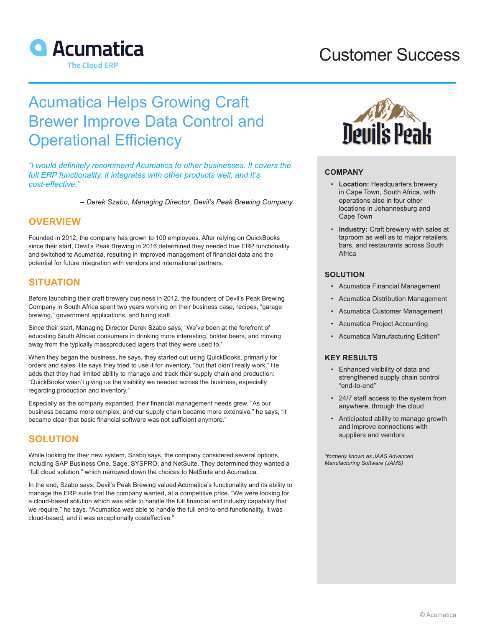

# Customer Success

# Acumatica Helps Growing Craft Brewer Improve Data Control and Operational Efficiency

*"I would definitely recommend Acumatica to other businesses. It covers the full ERP functionality, it integrates with other products well, and it's cost-effective."*

*– Derek Szabo, Managing Director, Devil's Peak Brewing Company*

## **OVERVIEW**

Founded in 2012, the company has grown to 100 employees. After relying on QuickBooks since their start, Devil's Peak Brewing in 2016 determined they needed true ERP functionality and switched to Acumatica, resulting in improved management of financial data and the potential for future integration with vendors and international partners.

#### **SITUATION**

Before launching their craft brewery business in 2012, the founders of Devil's Peak Brewing Company in South Africa spent two years working on their business case, recipes, "garage brewing," government applications, and hiring staff.

Since their start, Managing Director Derek Szabo says, "We've been at the forefront of educating South African consumers in drinking more interesting, bolder beers, and moving away from the typically massproduced lagers that they were used to."

When they began the business, he says, they started out using QuickBooks, primarily for orders and sales. He says they tried to use it for inventory, "but that didn't really work." He adds that they had limited ability to manage and track their supply chain and production: "QuickBooks wasn't giving us the visibility we needed across the business, especially regarding production and inventory."

Especially as the company expanded, their financial management needs grew. "As our business became more complex, and our supply chain became more extensive," he says, "it became clear that basic financial software was not sufficient anymore."

## **SOLUTION**

While looking for their new system, Szabo says, the company considered several options, including SAP Business One, Sage, SYSPRO, and NetSuite. They determined they wanted a "full cloud solution," which narrowed down the choices to NetSuite and Acumatica.

In the end, Szabo says, Devil's Peak Brewing valued Acumatica's functionality and its ability to manage the ERP suite that the company wanted, at a competitive price. "We were looking for a cloud-based solution which was able to handle the full financial and industry capability that we require," he says. "Acumatica was able to handle the full end-to-end functionality, it was cloud-based, and it was exceptionally costeffective."



#### **COMPANY**

- **Location:** Headquarters brewery in Cape Town, South Africa, with operations also in four other locations in Johannesburg and Cape Town
- **Industry:** Craft brewery with sales at taproom as well as to major retailers, bars, and restaurants across South Africa

#### **SOLUTION**

- Acumatica Financial Management
- Acumatica Distribution Management
- Acumatica Customer Management
- Acumatica Project Accounting
- Acumatica Manufacturing Edition\*

#### **KEY RESULTS**

- Enhanced visibility of data and strengthened supply chain control "end-to-end"
- 24/7 staff access to the system from anywhere, through the cloud
- Anticipated ability to manage growth and improve connections with suppliers and vendors

*\*formerly known as JAAS Advanced Manufacturing Software (JAMS)*